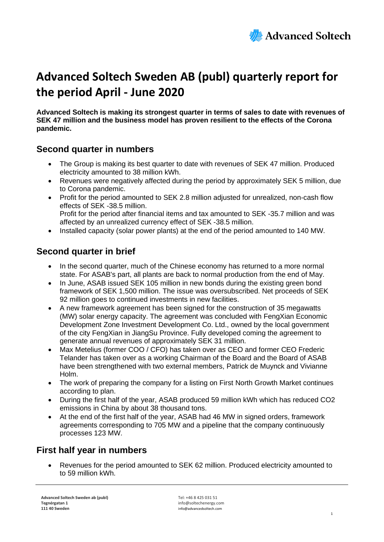

# **Advanced Soltech Sweden AB (publ) quarterly report for the period April - June 2020**

**Advanced Soltech is making its strongest quarter in terms of sales to date with revenues of SEK 47 million and the business model has proven resilient to the effects of the Corona pandemic.**

# **Second quarter in numbers**

- The Group is making its best quarter to date with revenues of SEK 47 million. Produced electricity amounted to 38 million kWh.
- Revenues were negatively affected during the period by approximately SEK 5 million, due to Corona pandemic.
- Profit for the period amounted to SEK 2.8 million adjusted for unrealized, non-cash flow effects of SEK -38.5 million. Profit for the period after financial items and tax amounted to SEK -35.7 million and was affected by an unrealized currency effect of SEK -38.5 million.
- Installed capacity (solar power plants) at the end of the period amounted to 140 MW.

# **Second quarter in brief**

- In the second quarter, much of the Chinese economy has returned to a more normal state. For ASAB's part, all plants are back to normal production from the end of May.
- In June, ASAB issued SEK 105 million in new bonds during the existing green bond framework of SEK 1,500 million. The issue was oversubscribed. Net proceeds of SEK 92 million goes to continued investments in new facilities.
- A new framework agreement has been signed for the construction of 35 megawatts (MW) solar energy capacity. The agreement was concluded with FengXian Economic Development Zone Investment Development Co. Ltd., owned by the local government of the city FengXian in JiangSu Province. Fully developed coming the agreement to generate annual revenues of approximately SEK 31 million.
- Max Metelius (former COO / CFO) has taken over as CEO and former CEO Frederic Telander has taken over as a working Chairman of the Board and the Board of ASAB have been strengthened with two external members, Patrick de Muynck and Vivianne Holm.
- The work of preparing the company for a listing on First North Growth Market continues according to plan.
- During the first half of the year, ASAB produced 59 million kWh which has reduced CO2 emissions in China by about 38 thousand tons.
- At the end of the first half of the year, ASAB had 46 MW in signed orders, framework agreements corresponding to 705 MW and a pipeline that the company continuously processes 123 MW.

# **First half year in numbers**

• Revenues for the period amounted to SEK 62 million. Produced electricity amounted to to 59 million kWh.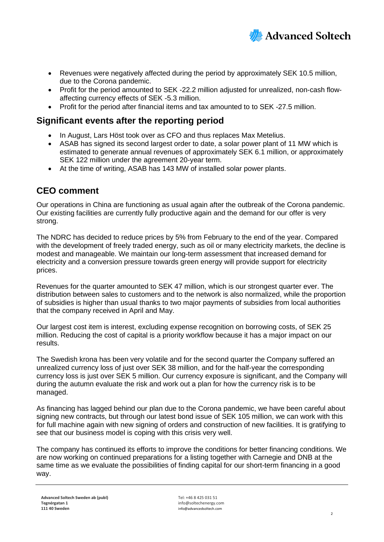

- Revenues were negatively affected during the period by approximately SEK 10.5 million, due to the Corona pandemic.
- Profit for the period amounted to SEK -22.2 million adjusted for unrealized, non-cash flowaffecting currency effects of SEK -5.3 million.
- Profit for the period after financial items and tax amounted to to SEK -27.5 million.

# **Significant events after the reporting period**

- In August, Lars Höst took over as CFO and thus replaces Max Metelius.
- ASAB has signed its second largest order to date, a solar power plant of 11 MW which is estimated to generate annual revenues of approximately SEK 6.1 million, or approximately SEK 122 million under the agreement 20-year term.
- At the time of writing, ASAB has 143 MW of installed solar power plants.

# **CEO comment**

Our operations in China are functioning as usual again after the outbreak of the Corona pandemic. Our existing facilities are currently fully productive again and the demand for our offer is very strong.

The NDRC has decided to reduce prices by 5% from February to the end of the year. Compared with the development of freely traded energy, such as oil or many electricity markets, the decline is modest and manageable. We maintain our long-term assessment that increased demand for electricity and a conversion pressure towards green energy will provide support for electricity prices.

Revenues for the quarter amounted to SEK 47 million, which is our strongest quarter ever. The distribution between sales to customers and to the network is also normalized, while the proportion of subsidies is higher than usual thanks to two major payments of subsidies from local authorities that the company received in April and May.

Our largest cost item is interest, excluding expense recognition on borrowing costs, of SEK 25 million. Reducing the cost of capital is a priority workflow because it has a major impact on our results.

The Swedish krona has been very volatile and for the second quarter the Company suffered an unrealized currency loss of just over SEK 38 million, and for the half-year the corresponding currency loss is just over SEK 5 million. Our currency exposure is significant, and the Company will during the autumn evaluate the risk and work out a plan for how the currency risk is to be managed.

As financing has lagged behind our plan due to the Corona pandemic, we have been careful about signing new contracts, but through our latest bond issue of SEK 105 million, we can work with this for full machine again with new signing of orders and construction of new facilities. It is gratifying to see that our business model is coping with this crisis very well.

The company has continued its efforts to improve the conditions for better financing conditions. We are now working on continued preparations for a listing together with Carnegie and DNB at the same time as we evaluate the possibilities of finding capital for our short-term financing in a good way.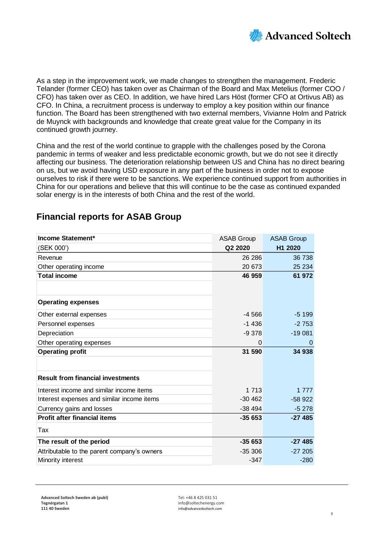

As a step in the improvement work, we made changes to strengthen the management. Frederic Telander (former CEO) has taken over as Chairman of the Board and Max Metelius (former COO / CFO) has taken over as CEO. In addition, we have hired Lars Höst (former CFO at Ortivus AB) as CFO. In China, a recruitment process is underway to employ a key position within our finance function. The Board has been strengthened with two external members, Vivianne Holm and Patrick de Muynck with backgrounds and knowledge that create great value for the Company in its continued growth journey.

China and the rest of the world continue to grapple with the challenges posed by the Corona pandemic in terms of weaker and less predictable economic growth, but we do not see it directly affecting our business. The deterioration relationship between US and China has no direct bearing on us, but we avoid having USD exposure in any part of the business in order not to expose ourselves to risk if there were to be sanctions. We experience continued support from authorities in China for our operations and believe that this will continue to be the case as continued expanded solar energy is in the interests of both China and the rest of the world.

| <b>Financial reports for ASAB Group</b> |  |  |
|-----------------------------------------|--|--|
|-----------------------------------------|--|--|

| <b>Income Statement*</b>                    | <b>ASAB Group</b> | <b>ASAB Group</b> |
|---------------------------------------------|-------------------|-------------------|
| (SEK 000')                                  | Q2 2020           | H1 2020           |
| Revenue                                     | 26 28 6           | 36 738            |
| Other operating income                      | 20 673            | 25 234            |
| <b>Total income</b>                         | 46 959            | 61 972            |
|                                             |                   |                   |
| <b>Operating expenses</b>                   |                   |                   |
| Other external expenses                     | $-4566$           | $-5.199$          |
| Personnel expenses                          | $-1436$           | $-2753$           |
| Depreciation                                | $-9.378$          | $-19081$          |
| Other operating expenses                    | 0                 | $\Omega$          |
| <b>Operating profit</b>                     | 31 590            | 34 938            |
|                                             |                   |                   |
| <b>Result from financial investments</b>    |                   |                   |
| Interest income and similar income items    | 1 7 1 3           | 1 777             |
| Interest expenses and similar income items  | $-30,462$         | $-58922$          |
| Currency gains and losses                   | $-38494$          | $-5278$           |
| <b>Profit after financial items</b>         | $-35653$          | $-27485$          |
| Tax                                         |                   |                   |
| The result of the period                    | $-35653$          | $-27485$          |
| Attributable to the parent company's owners | $-35306$          | $-27205$          |
| Minority interest                           | $-347$            | $-280$            |

**Tegnérgatan 1** info@soltechenergy.com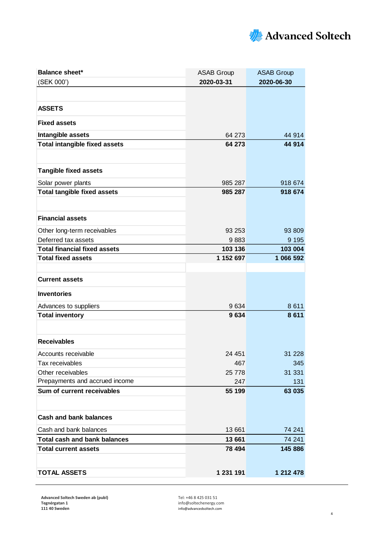

| <b>Balance sheet*</b>                | <b>ASAB Group</b> | <b>ASAB Group</b> |  |
|--------------------------------------|-------------------|-------------------|--|
| (SEK 000')                           | 2020-03-31        | 2020-06-30        |  |
|                                      |                   |                   |  |
| <b>ASSETS</b>                        |                   |                   |  |
| <b>Fixed assets</b>                  |                   |                   |  |
| Intangible assets                    | 64 273            | 44 914            |  |
| <b>Total intangible fixed assets</b> | 64 273            | 44 914            |  |
|                                      |                   |                   |  |
| <b>Tangible fixed assets</b>         |                   |                   |  |
| Solar power plants                   | 985 287           | 918 674           |  |
| <b>Total tangible fixed assets</b>   | 985 287           | 918 674           |  |
|                                      |                   |                   |  |
| <b>Financial assets</b>              |                   |                   |  |
| Other long-term receivables          | 93 253            | 93 809            |  |
| Deferred tax assets                  | 9883              | 9 1 9 5           |  |
| <b>Total financial fixed assets</b>  | 103 136           | 103 004           |  |
| <b>Total fixed assets</b>            | 1 152 697         | 1 066 592         |  |
|                                      |                   |                   |  |
| <b>Current assets</b>                |                   |                   |  |
| <b>Inventories</b>                   |                   |                   |  |
| Advances to suppliers                | 9634              | 8611              |  |
| <b>Total inventory</b>               | 9634              | 8611              |  |
|                                      |                   |                   |  |
| <b>Receivables</b>                   |                   |                   |  |
| Accounts receivable                  | 24 451            | 31 2 28           |  |
| Tax receivables                      | 467               | 345               |  |
| Other receivables                    | 25 778            | 31 331            |  |
| Prepayments and accrued income       | 247               | 131               |  |
| Sum of current receivables           | 55 199            | 63 035            |  |
|                                      |                   |                   |  |
| <b>Cash and bank balances</b>        |                   |                   |  |
| Cash and bank balances               | 13 661            | 74 241            |  |
| <b>Total cash and bank balances</b>  | 13 661            | 74 241            |  |
| <b>Total current assets</b>          | 78 494            | 145 886           |  |
|                                      |                   |                   |  |
| <b>TOTAL ASSETS</b>                  | 1 231 191         | 1 212 478         |  |

**Sweden ab (publ)** Tel: +46 8 425 031 51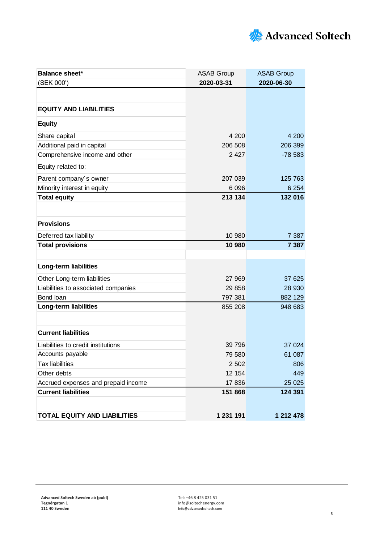

| <b>Balance sheet*</b>               | <b>ASAB Group</b> | <b>ASAB Group</b> |  |
|-------------------------------------|-------------------|-------------------|--|
| (SEK 000')                          | 2020-03-31        | 2020-06-30        |  |
|                                     |                   |                   |  |
| <b>EQUITY AND LIABILITIES</b>       |                   |                   |  |
| <b>Equity</b>                       |                   |                   |  |
| Share capital                       | 4 200             | 4 200             |  |
| Additional paid in capital          | 206 508           | 206 399           |  |
| Comprehensive income and other      | 2 4 2 7           | $-78583$          |  |
| Equity related to:                  |                   |                   |  |
| Parent company's owner              | 207 039           | 125 763           |  |
| Minority interest in equity         | 6 0 9 6           | 6 2 5 4           |  |
| <b>Total equity</b>                 | 213 134           | 132 016           |  |
|                                     |                   |                   |  |
| <b>Provisions</b>                   |                   |                   |  |
| Deferred tax liability              | 10 980            | 7 3 8 7           |  |
| <b>Total provisions</b>             | 10 980            | 7 3 8 7           |  |
|                                     |                   |                   |  |
| <b>Long-term liabilities</b>        |                   |                   |  |
| Other Long-term liabilities         | 27 969            | 37 625            |  |
| Liabilities to associated companies | 29 858            | 28 930            |  |
| Bond loan                           | 797 381           | 882 129           |  |
| <b>Long-term liabilities</b>        | 855 208           | 948 683           |  |
|                                     |                   |                   |  |
| <b>Current liabilities</b>          |                   |                   |  |
| Liabilities to credit institutions  | 39 796            | 37 0 24           |  |
| Accounts payable                    | 79 580            | 61 087            |  |
| <b>Tax liabilities</b>              | 2 5 0 2           | 806               |  |
| Other debts                         | 12 154            | 449               |  |
| Accrued expenses and prepaid income | 17836             | 25 0 25           |  |
| <b>Current liabilities</b>          | 151 868           | 124 391           |  |
|                                     |                   |                   |  |
| <b>TOTAL EQUITY AND LIABILITIES</b> | 1 231 191         | 1 212 478         |  |